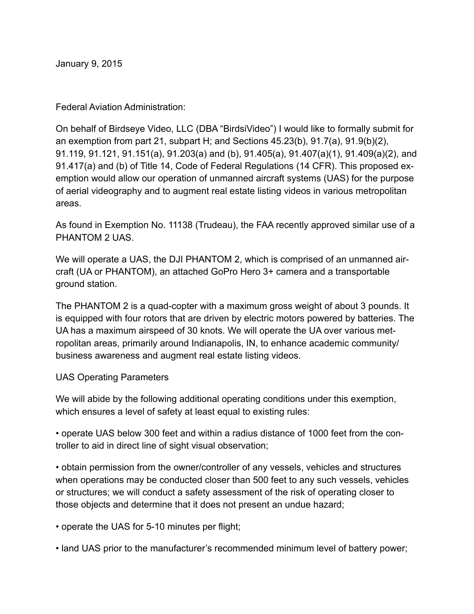January 9, 2015

Federal Aviation Administration:

On behalf of Birdseye Video, LLC (DBA "BirdsiVideo") I would like to formally submit for an exemption from part 21, subpart H; and Sections 45.23(b), 91.7(a), 91.9(b)(2), 91.119, 91.121, 91.151(a), 91.203(a) and (b), 91.405(a), 91.407(a)(1), 91.409(a)(2), and 91.417(a) and (b) of Title 14, Code of Federal Regulations (14 CFR). This proposed exemption would allow our operation of unmanned aircraft systems (UAS) for the purpose of aerial videography and to augment real estate listing videos in various metropolitan areas.

As found in Exemption No. 11138 (Trudeau), the FAA recently approved similar use of a PHANTOM 2 UAS.

We will operate a UAS, the DJI PHANTOM 2, which is comprised of an unmanned aircraft (UA or PHANTOM), an attached GoPro Hero 3+ camera and a transportable ground station.

The PHANTOM 2 is a quad-copter with a maximum gross weight of about 3 pounds. It is equipped with four rotors that are driven by electric motors powered by batteries. The UA has a maximum airspeed of 30 knots. We will operate the UA over various metropolitan areas, primarily around Indianapolis, IN, to enhance academic community/ business awareness and augment real estate listing videos.

## UAS Operating Parameters

We will abide by the following additional operating conditions under this exemption, which ensures a level of safety at least equal to existing rules:

• operate UAS below 300 feet and within a radius distance of 1000 feet from the controller to aid in direct line of sight visual observation;

• obtain permission from the owner/controller of any vessels, vehicles and structures when operations may be conducted closer than 500 feet to any such vessels, vehicles or structures; we will conduct a safety assessment of the risk of operating closer to those objects and determine that it does not present an undue hazard;

• operate the UAS for 5-10 minutes per flight;

• land UAS prior to the manufacturer's recommended minimum level of battery power;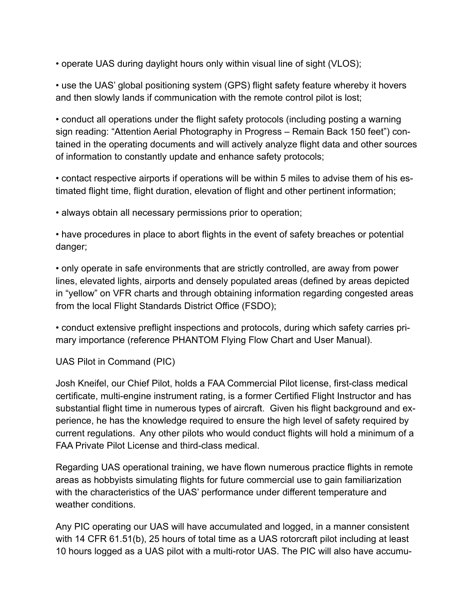• operate UAS during daylight hours only within visual line of sight (VLOS);

• use the UAS' global positioning system (GPS) flight safety feature whereby it hovers and then slowly lands if communication with the remote control pilot is lost;

• conduct all operations under the flight safety protocols (including posting a warning sign reading: "Attention Aerial Photography in Progress – Remain Back 150 feet") contained in the operating documents and will actively analyze flight data and other sources of information to constantly update and enhance safety protocols;

• contact respective airports if operations will be within 5 miles to advise them of his estimated flight time, flight duration, elevation of flight and other pertinent information;

• always obtain all necessary permissions prior to operation;

• have procedures in place to abort flights in the event of safety breaches or potential danger;

• only operate in safe environments that are strictly controlled, are away from power lines, elevated lights, airports and densely populated areas (defined by areas depicted in "yellow" on VFR charts and through obtaining information regarding congested areas from the local Flight Standards District Office (FSDO);

• conduct extensive preflight inspections and protocols, during which safety carries primary importance (reference PHANTOM Flying Flow Chart and User Manual).

UAS Pilot in Command (PIC)

Josh Kneifel, our Chief Pilot, holds a FAA Commercial Pilot license, first-class medical certificate, multi-engine instrument rating, is a former Certified Flight Instructor and has substantial flight time in numerous types of aircraft. Given his flight background and experience, he has the knowledge required to ensure the high level of safety required by current regulations. Any other pilots who would conduct flights will hold a minimum of a FAA Private Pilot License and third-class medical.

Regarding UAS operational training, we have flown numerous practice flights in remote areas as hobbyists simulating flights for future commercial use to gain familiarization with the characteristics of the UAS' performance under different temperature and weather conditions.

Any PIC operating our UAS will have accumulated and logged, in a manner consistent with 14 CFR 61.51(b), 25 hours of total time as a UAS rotorcraft pilot including at least 10 hours logged as a UAS pilot with a multi-rotor UAS. The PIC will also have accumu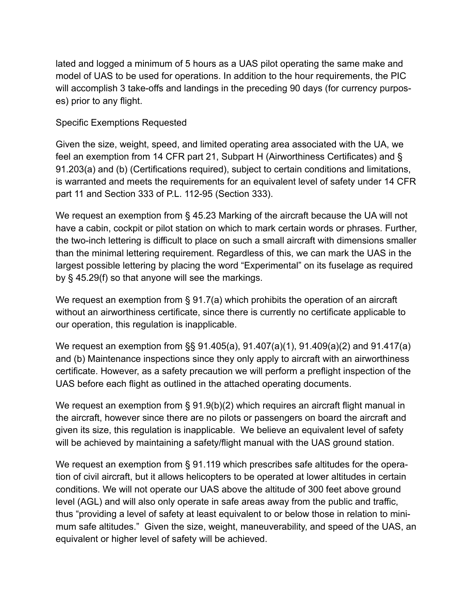lated and logged a minimum of 5 hours as a UAS pilot operating the same make and model of UAS to be used for operations. In addition to the hour requirements, the PIC will accomplish 3 take-offs and landings in the preceding 90 days (for currency purposes) prior to any flight.

## Specific Exemptions Requested

Given the size, weight, speed, and limited operating area associated with the UA, we feel an exemption from 14 CFR part 21, Subpart H (Airworthiness Certificates) and § 91.203(a) and (b) (Certifications required), subject to certain conditions and limitations, is warranted and meets the requirements for an equivalent level of safety under 14 CFR part 11 and Section 333 of P.L. 112-95 (Section 333).

We request an exemption from § 45.23 Marking of the aircraft because the UA will not have a cabin, cockpit or pilot station on which to mark certain words or phrases. Further, the two-inch lettering is difficult to place on such a small aircraft with dimensions smaller than the minimal lettering requirement. Regardless of this, we can mark the UAS in the largest possible lettering by placing the word "Experimental" on its fuselage as required by § 45.29(f) so that anyone will see the markings.

We request an exemption from § 91.7(a) which prohibits the operation of an aircraft without an airworthiness certificate, since there is currently no certificate applicable to our operation, this regulation is inapplicable.

We request an exemption from §§ 91.405(a), 91.407(a)(1), 91.409(a)(2) and 91.417(a) and (b) Maintenance inspections since they only apply to aircraft with an airworthiness certificate. However, as a safety precaution we will perform a preflight inspection of the UAS before each flight as outlined in the attached operating documents.

We request an exemption from § 91.9(b)(2) which requires an aircraft flight manual in the aircraft, however since there are no pilots or passengers on board the aircraft and given its size, this regulation is inapplicable. We believe an equivalent level of safety will be achieved by maintaining a safety/flight manual with the UAS ground station.

We request an exemption from § 91.119 which prescribes safe altitudes for the operation of civil aircraft, but it allows helicopters to be operated at lower altitudes in certain conditions. We will not operate our UAS above the altitude of 300 feet above ground level (AGL) and will also only operate in safe areas away from the public and traffic, thus "providing a level of safety at least equivalent to or below those in relation to minimum safe altitudes." Given the size, weight, maneuverability, and speed of the UAS, an equivalent or higher level of safety will be achieved.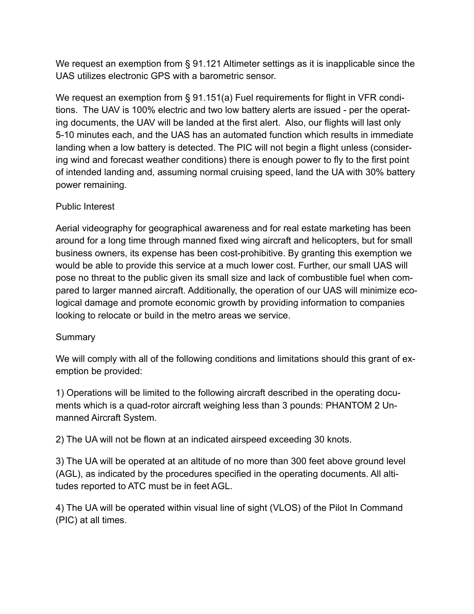We request an exemption from § 91.121 Altimeter settings as it is inapplicable since the UAS utilizes electronic GPS with a barometric sensor.

We request an exemption from § 91.151(a) Fuel requirements for flight in VFR conditions. The UAV is 100% electric and two low battery alerts are issued - per the operating documents, the UAV will be landed at the first alert. Also, our flights will last only 5-10 minutes each, and the UAS has an automated function which results in immediate landing when a low battery is detected. The PIC will not begin a flight unless (considering wind and forecast weather conditions) there is enough power to fly to the first point of intended landing and, assuming normal cruising speed, land the UA with 30% battery power remaining.

## Public Interest

Aerial videography for geographical awareness and for real estate marketing has been around for a long time through manned fixed wing aircraft and helicopters, but for small business owners, its expense has been cost-prohibitive. By granting this exemption we would be able to provide this service at a much lower cost. Further, our small UAS will pose no threat to the public given its small size and lack of combustible fuel when compared to larger manned aircraft. Additionally, the operation of our UAS will minimize ecological damage and promote economic growth by providing information to companies looking to relocate or build in the metro areas we service.

## **Summary**

We will comply with all of the following conditions and limitations should this grant of exemption be provided:

1) Operations will be limited to the following aircraft described in the operating documents which is a quad-rotor aircraft weighing less than 3 pounds: PHANTOM 2 Unmanned Aircraft System.

2) The UA will not be flown at an indicated airspeed exceeding 30 knots.

3) The UA will be operated at an altitude of no more than 300 feet above ground level (AGL), as indicated by the procedures specified in the operating documents. All altitudes reported to ATC must be in feet AGL.

4) The UA will be operated within visual line of sight (VLOS) of the Pilot In Command (PIC) at all times.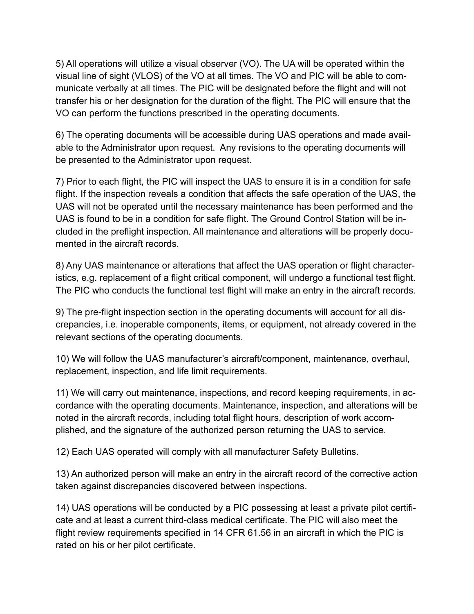5) All operations will utilize a visual observer (VO). The UA will be operated within the visual line of sight (VLOS) of the VO at all times. The VO and PIC will be able to communicate verbally at all times. The PIC will be designated before the flight and will not transfer his or her designation for the duration of the flight. The PIC will ensure that the VO can perform the functions prescribed in the operating documents.

6) The operating documents will be accessible during UAS operations and made available to the Administrator upon request. Any revisions to the operating documents will be presented to the Administrator upon request.

7) Prior to each flight, the PIC will inspect the UAS to ensure it is in a condition for safe flight. If the inspection reveals a condition that affects the safe operation of the UAS, the UAS will not be operated until the necessary maintenance has been performed and the UAS is found to be in a condition for safe flight. The Ground Control Station will be included in the preflight inspection. All maintenance and alterations will be properly documented in the aircraft records.

8) Any UAS maintenance or alterations that affect the UAS operation or flight characteristics, e.g. replacement of a flight critical component, will undergo a functional test flight. The PIC who conducts the functional test flight will make an entry in the aircraft records.

9) The pre-flight inspection section in the operating documents will account for all discrepancies, i.e. inoperable components, items, or equipment, not already covered in the relevant sections of the operating documents.

10) We will follow the UAS manufacturer's aircraft/component, maintenance, overhaul, replacement, inspection, and life limit requirements.

11) We will carry out maintenance, inspections, and record keeping requirements, in accordance with the operating documents. Maintenance, inspection, and alterations will be noted in the aircraft records, including total flight hours, description of work accomplished, and the signature of the authorized person returning the UAS to service.

12) Each UAS operated will comply with all manufacturer Safety Bulletins.

13) An authorized person will make an entry in the aircraft record of the corrective action taken against discrepancies discovered between inspections.

14) UAS operations will be conducted by a PIC possessing at least a private pilot certificate and at least a current third-class medical certificate. The PIC will also meet the flight review requirements specified in 14 CFR 61.56 in an aircraft in which the PIC is rated on his or her pilot certificate.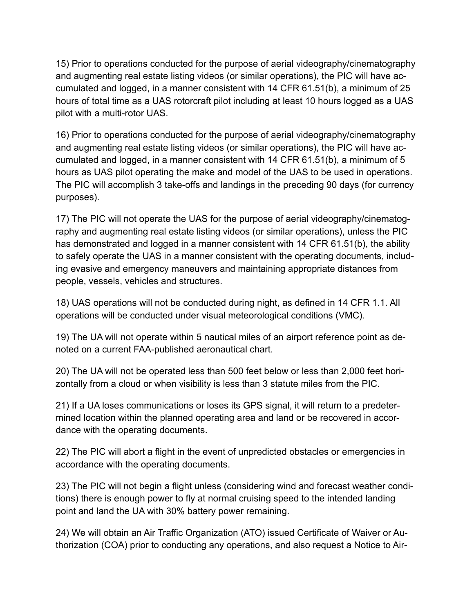15) Prior to operations conducted for the purpose of aerial videography/cinematography and augmenting real estate listing videos (or similar operations), the PIC will have accumulated and logged, in a manner consistent with 14 CFR 61.51(b), a minimum of 25 hours of total time as a UAS rotorcraft pilot including at least 10 hours logged as a UAS pilot with a multi-rotor UAS.

16) Prior to operations conducted for the purpose of aerial videography/cinematography and augmenting real estate listing videos (or similar operations), the PIC will have accumulated and logged, in a manner consistent with 14 CFR 61.51(b), a minimum of 5 hours as UAS pilot operating the make and model of the UAS to be used in operations. The PIC will accomplish 3 take-offs and landings in the preceding 90 days (for currency purposes).

17) The PIC will not operate the UAS for the purpose of aerial videography/cinematography and augmenting real estate listing videos (or similar operations), unless the PIC has demonstrated and logged in a manner consistent with 14 CFR 61.51(b), the ability to safely operate the UAS in a manner consistent with the operating documents, including evasive and emergency maneuvers and maintaining appropriate distances from people, vessels, vehicles and structures.

18) UAS operations will not be conducted during night, as defined in 14 CFR 1.1. All operations will be conducted under visual meteorological conditions (VMC).

19) The UA will not operate within 5 nautical miles of an airport reference point as denoted on a current FAA-published aeronautical chart.

20) The UA will not be operated less than 500 feet below or less than 2,000 feet horizontally from a cloud or when visibility is less than 3 statute miles from the PIC.

21) If a UA loses communications or loses its GPS signal, it will return to a predetermined location within the planned operating area and land or be recovered in accordance with the operating documents.

22) The PIC will abort a flight in the event of unpredicted obstacles or emergencies in accordance with the operating documents.

23) The PIC will not begin a flight unless (considering wind and forecast weather conditions) there is enough power to fly at normal cruising speed to the intended landing point and land the UA with 30% battery power remaining.

24) We will obtain an Air Traffic Organization (ATO) issued Certificate of Waiver or Authorization (COA) prior to conducting any operations, and also request a Notice to Air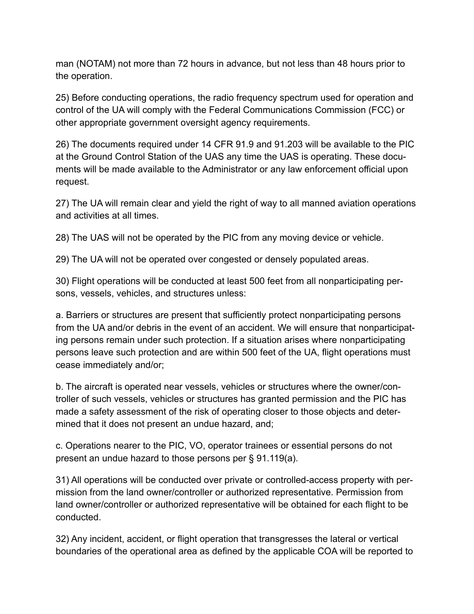man (NOTAM) not more than 72 hours in advance, but not less than 48 hours prior to the operation.

25) Before conducting operations, the radio frequency spectrum used for operation and control of the UA will comply with the Federal Communications Commission (FCC) or other appropriate government oversight agency requirements.

26) The documents required under 14 CFR 91.9 and 91.203 will be available to the PIC at the Ground Control Station of the UAS any time the UAS is operating. These documents will be made available to the Administrator or any law enforcement official upon request.

27) The UA will remain clear and yield the right of way to all manned aviation operations and activities at all times.

28) The UAS will not be operated by the PIC from any moving device or vehicle.

29) The UA will not be operated over congested or densely populated areas.

30) Flight operations will be conducted at least 500 feet from all nonparticipating persons, vessels, vehicles, and structures unless:

a. Barriers or structures are present that sufficiently protect nonparticipating persons from the UA and/or debris in the event of an accident. We will ensure that nonparticipating persons remain under such protection. If a situation arises where nonparticipating persons leave such protection and are within 500 feet of the UA, flight operations must cease immediately and/or;

b. The aircraft is operated near vessels, vehicles or structures where the owner/controller of such vessels, vehicles or structures has granted permission and the PIC has made a safety assessment of the risk of operating closer to those objects and determined that it does not present an undue hazard, and;

c. Operations nearer to the PIC, VO, operator trainees or essential persons do not present an undue hazard to those persons per § 91.119(a).

31) All operations will be conducted over private or controlled-access property with permission from the land owner/controller or authorized representative. Permission from land owner/controller or authorized representative will be obtained for each flight to be conducted.

32) Any incident, accident, or flight operation that transgresses the lateral or vertical boundaries of the operational area as defined by the applicable COA will be reported to